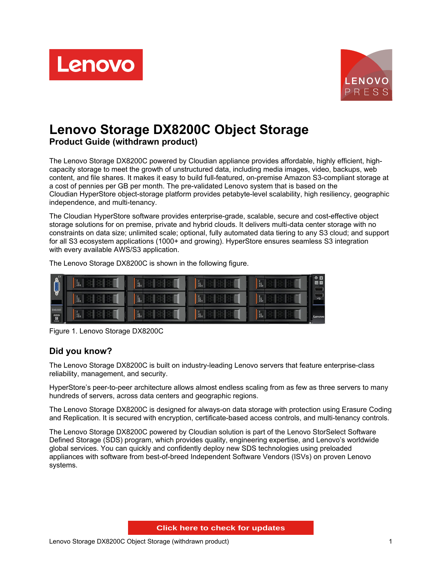



# **Lenovo Storage DX8200C Object Storage Product Guide (withdrawn product)**

The Lenovo Storage DX8200C powered by Cloudian appliance provides affordable, highly efficient, highcapacity storage to meet the growth of unstructured data, including media images, video, backups, web content, and file shares. It makes it easy to build full-featured, on-premise Amazon S3-compliant storage at a cost of pennies per GB per month. The pre-validated Lenovo system that is based on the Cloudian HyperStore object-storage platform provides petabyte-level scalability, high resiliency, geographic independence, and multi-tenancy.

The Cloudian HyperStore software provides enterprise-grade, scalable, secure and cost-effective object storage solutions for on premise, private and hybrid clouds. It delivers multi-data center storage with no constraints on data size; unlimited scale; optional, fully automated data tiering to any S3 cloud; and support for all S3 ecosystem applications (1000+ and growing). HyperStore ensures seamless S3 integration with every available AWS/S3 application.

The Lenovo Storage DX8200C is shown in the following figure.

|                                                                                                          | <b>Same</b>                                                                                    | <b>San</b>  | u. | šp. | $\bullet$ $\blacksquare$<br>田田<br>فتست |
|----------------------------------------------------------------------------------------------------------|------------------------------------------------------------------------------------------------|-------------|----|-----|----------------------------------------|
|                                                                                                          | is.                                                                                            | <b>Same</b> | H. | H.  | -<br><b>Viewer</b><br>$rac{1}{2}$      |
| DX8200C<br>$\begin{tabular}{ c c } \hline $\text{RHS} \\\hline $\text{BS}$\\ $m$ \\\hline \end{tabular}$ | $\begin{bmatrix} \frac{1}{2} & 0 \\ \frac{1}{2} & 0 \\ \frac{1}{2} & 0 \\ 0 & 0 \end{bmatrix}$ | <b>Sain</b> | T. | H.  | Lenovo                                 |

Figure 1. Lenovo Storage DX8200C

### **Did you know?**

The Lenovo Storage DX8200C is built on industry-leading Lenovo servers that feature enterprise-class reliability, management, and security.

HyperStore's peer-to-peer architecture allows almost endless scaling from as few as three servers to many hundreds of servers, across data centers and geographic regions.

The Lenovo Storage DX8200C is designed for always-on data storage with protection using Erasure Coding and Replication. It is secured with encryption, certificate-based access controls, and multi-tenancy controls.

The Lenovo Storage DX8200C powered by Cloudian solution is part of the Lenovo StorSelect Software Defined Storage (SDS) program, which provides quality, engineering expertise, and Lenovo's worldwide global services. You can quickly and confidently deploy new SDS technologies using preloaded appliances with software from best-of-breed Independent Software Vendors (ISVs) on proven Lenovo systems.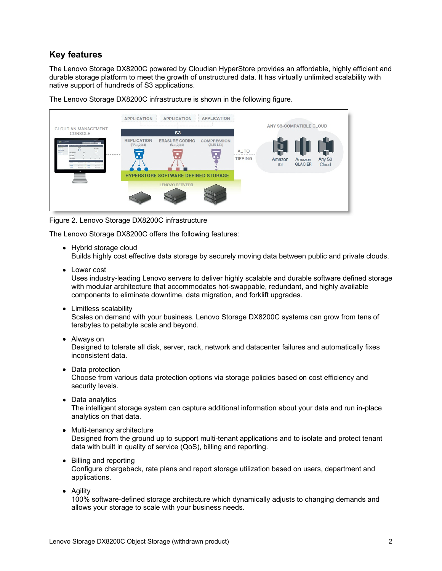# **Key features**

The Lenovo Storage DX8200C powered by Cloudian HyperStore provides an affordable, highly efficient and durable storage platform to meet the growth of unstructured data. It has virtually unlimited scalability with native support of hundreds of S3 applications.

The Lenovo Storage DX8200C infrastructure is shown in the following figure.



Figure 2. Lenovo Storage DX8200C infrastructure

The Lenovo Storage DX8200C offers the following features:

• Hybrid storage cloud

Builds highly cost effective data storage by securely moving data between public and private clouds.

• Lower cost

Uses industry-leading Lenovo servers to deliver highly scalable and durable software defined storage with modular architecture that accommodates hot-swappable, redundant, and highly available components to eliminate downtime, data migration, and forklift upgrades.

• Limitless scalability

Scales on demand with your business. Lenovo Storage DX8200C systems can grow from tens of terabytes to petabyte scale and beyond.

Always on

Designed to tolerate all disk, server, rack, network and datacenter failures and automatically fixes inconsistent data.

- Data protection Choose from various data protection options via storage policies based on cost efficiency and security levels.
- Data analytics

The intelligent storage system can capture additional information about your data and run in-place analytics on that data.

- Multi-tenancy architecture Designed from the ground up to support multi-tenant applications and to isolate and protect tenant data with built in quality of service (QoS), billing and reporting.
- Billing and reporting

Configure chargeback, rate plans and report storage utilization based on users, department and applications.

• Agility

100% software-defined storage architecture which dynamically adjusts to changing demands and allows your storage to scale with your business needs.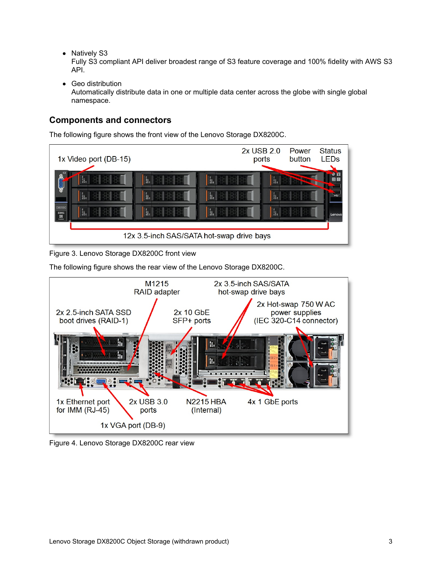• Natively S3

Fully S3 compliant API deliver broadest range of S3 feature coverage and 100% fidelity with AWS S3 API.

• Geo distribution Automatically distribute data in one or multiple data center across the globe with single global namespace.

# **Components and connectors**

The following figure shows the front view of the Lenovo Storage DX8200C.



Figure 3. Lenovo Storage DX8200C front view

The following figure shows the rear view of the Lenovo Storage DX8200C.



Figure 4. Lenovo Storage DX8200C rear view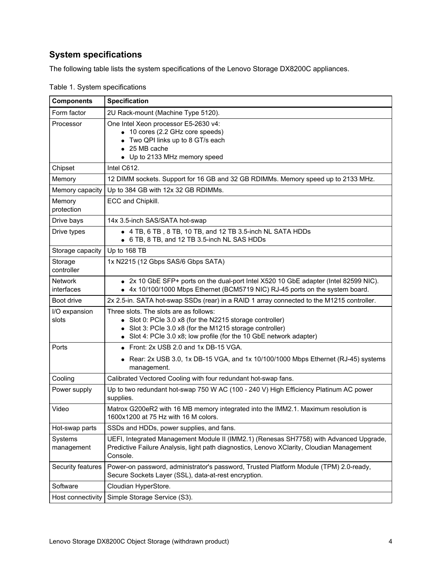# **System specifications**

The following table lists the system specifications of the Lenovo Storage DX8200C appliances.

| <b>Components</b>            | <b>Specification</b>                                                                                                                                                                                                            |
|------------------------------|---------------------------------------------------------------------------------------------------------------------------------------------------------------------------------------------------------------------------------|
| Form factor                  | 2U Rack-mount (Machine Type 5120).                                                                                                                                                                                              |
| Processor                    | One Intel Xeon processor E5-2630 v4:<br>• 10 cores (2.2 GHz core speeds)<br>Two QPI links up to 8 GT/s each<br>• 25 MB cache<br>• Up to 2133 MHz memory speed                                                                   |
| Chipset                      | Intel C612.                                                                                                                                                                                                                     |
| Memory                       | 12 DIMM sockets. Support for 16 GB and 32 GB RDIMMs. Memory speed up to 2133 MHz.                                                                                                                                               |
| Memory capacity              | Up to 384 GB with 12x 32 GB RDIMMs.                                                                                                                                                                                             |
| Memory<br>protection         | ECC and Chipkill.                                                                                                                                                                                                               |
| Drive bays                   | 14x 3.5-inch SAS/SATA hot-swap                                                                                                                                                                                                  |
| Drive types                  | • 4 TB, 6 TB, 8 TB, 10 TB, and 12 TB 3.5-inch NL SATA HDDs<br>• 6 TB, 8 TB, and 12 TB 3.5-inch NL SAS HDDs                                                                                                                      |
| Storage capacity             | Up to 168 TB                                                                                                                                                                                                                    |
| Storage<br>controller        | 1x N2215 (12 Gbps SAS/6 Gbps SATA)                                                                                                                                                                                              |
| <b>Network</b><br>interfaces | • 2x 10 GbE SFP+ ports on the dual-port Intel X520 10 GbE adapter (Intel 82599 NIC).<br>4x 10/100/1000 Mbps Ethernet (BCM5719 NIC) RJ-45 ports on the system board.                                                             |
| Boot drive                   | 2x 2.5-in. SATA hot-swap SSDs (rear) in a RAID 1 array connected to the M1215 controller.                                                                                                                                       |
| I/O expansion<br>slots       | Three slots. The slots are as follows:<br>Slot 0: PCle 3.0 x8 (for the N2215 storage controller)<br>Slot 3: PCle 3.0 x8 (for the M1215 storage controller)<br>Slot 4: PCIe 3.0 x8; low profile (for the 10 GbE network adapter) |
| Ports                        | • Front: 2x USB 2.0 and 1x DB-15 VGA.                                                                                                                                                                                           |
|                              | Rear: 2x USB 3.0, 1x DB-15 VGA, and 1x 10/100/1000 Mbps Ethernet (RJ-45) systems<br>management.                                                                                                                                 |
| Cooling                      | Calibrated Vectored Cooling with four redundant hot-swap fans.                                                                                                                                                                  |
| Power supply                 | Up to two redundant hot-swap 750 W AC (100 - 240 V) High Efficiency Platinum AC power<br>supplies.                                                                                                                              |
| Video                        | Matrox G200eR2 with 16 MB memory integrated into the IMM2.1. Maximum resolution is<br>1600x1200 at 75 Hz with 16 M colors.                                                                                                      |
| Hot-swap parts               | SSDs and HDDs, power supplies, and fans.                                                                                                                                                                                        |
| Systems<br>management        | UEFI, Integrated Management Module II (IMM2.1) (Renesas SH7758) with Advanced Upgrade,<br>Predictive Failure Analysis, light path diagnostics, Lenovo XClarity, Cloudian Management<br>Console.                                 |
| Security features            | Power-on password, administrator's password, Trusted Platform Module (TPM) 2.0-ready,<br>Secure Sockets Layer (SSL), data-at-rest encryption.                                                                                   |
| Software                     | Cloudian HyperStore.                                                                                                                                                                                                            |
| Host connectivity            | Simple Storage Service (S3).                                                                                                                                                                                                    |

Table 1. System specifications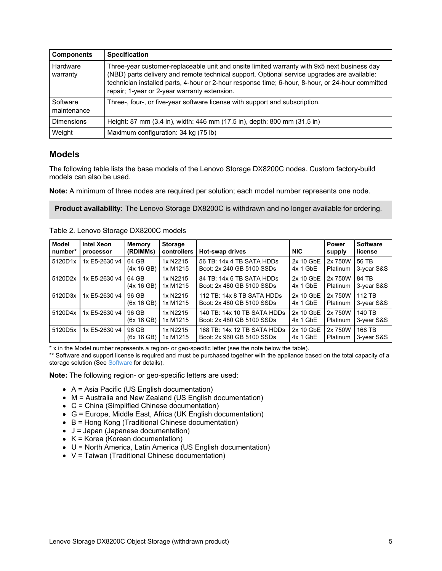| <b>Components</b>       | <b>Specification</b>                                                                                                                                                                                                                                                                                                                           |
|-------------------------|------------------------------------------------------------------------------------------------------------------------------------------------------------------------------------------------------------------------------------------------------------------------------------------------------------------------------------------------|
| Hardware<br>warranty    | Three-year customer-replaceable unit and onsite limited warranty with 9x5 next business day<br>(NBD) parts delivery and remote technical support. Optional service upgrades are available:<br>technician installed parts, 4-hour or 2-hour response time; 6-hour, 8-hour, or 24-hour committed<br>repair; 1-year or 2-year warranty extension. |
| Software<br>maintenance | Three-, four-, or five-year software license with support and subscription.                                                                                                                                                                                                                                                                    |
| <b>Dimensions</b>       | Height: 87 mm (3.4 in), width: 446 mm (17.5 in), depth: 800 mm (31.5 in)                                                                                                                                                                                                                                                                       |
| Weight                  | Maximum configuration: 34 kg (75 lb)                                                                                                                                                                                                                                                                                                           |

### <span id="page-4-0"></span>**Models**

The following table lists the base models of the Lenovo Storage DX8200C nodes. Custom factory-build models can also be used.

**Note:** A minimum of three nodes are required per solution; each model number represents one node.

**Product availability:** The Lenovo Storage DX8200C is withdrawn and no longer available for ordering.

| <b>Model</b><br>number* | <b>Intel Xeon</b><br>processor | <b>Memory</b><br>(RDIMMs) | <b>Storage</b><br>controllers | <b>Hot-swap drives</b>                                   | <b>NIC</b>              | Power<br>supply     | <b>Software</b><br>license |
|-------------------------|--------------------------------|---------------------------|-------------------------------|----------------------------------------------------------|-------------------------|---------------------|----------------------------|
| 5120D1x                 | 1x E5-2630 v4                  | 64 GB<br>(4x 16 GB)       | 1x N2215<br>1x M1215          | 56 TB: 14x 4 TB SATA HDDs<br>Boot: 2x 240 GB 5100 SSDs   | 2x 10 GbE<br>$4x 1$ GbE | 2x 750W<br>Platinum | 56 TB<br>3-year S&S        |
| 5120D2x                 | 1x E5-2630 v4                  | 64 GB<br>(4x 16 GB)       | 1x N2215<br>1x M1215          | 84 TB: 14x 6 TB SATA HDDs<br>Boot: 2x 480 GB 5100 SSDs   | 2x 10 GbE<br>$4x 1$ GbE | 2x 750W<br>Platinum | 84 TB<br>3-year S&S        |
| 5120D3x                 | 1x E5-2630 v4                  | 96 GB<br>(6x 16 GB)       | 1x N2215<br>1x M1215          | 112 TB: 14x 8 TB SATA HDDs<br>Boot: 2x 480 GB 5100 SSDs  | 2x 10 GbE<br>$4x 1$ GbE | 2x 750W<br>Platinum | 112 TB<br>3-year S&S       |
| 5120D4x                 | 1x E5-2630 v4                  | 96 GB<br>(6x 16 GB)       | 1x N2215<br>1x M1215          | 140 TB: 14x 10 TB SATA HDDs<br>Boot: 2x 480 GB 5100 SSDs | 2x 10 GbE<br>$4x 1$ GbE | 2x 750W<br>Platinum | 140 TB<br>3-year S&S       |
| 5120D5x                 | 1x E5-2630 v4                  | 96 GB<br>(6x 16 GB)       | 1x N2215<br>1x M1215          | 168 TB: 14x 12 TB SATA HDDs<br>Boot: 2x 960 GB 5100 SSDs | 2x 10 GbE<br>$4x 1$ GbE | 2x 750W<br>Platinum | 168 TB<br>3-year S&S       |

Table 2. Lenovo Storage DX8200C models

\* x in the Model number represents a region- or geo-specific letter (see the note below the table).

\*\* Software and support license is required and must be purchased together with the appliance based on the total capacity of a storage solution (See [Software](#page-10-0) for details).

**Note:** The following region- or geo-specific letters are used:

- $\bullet$  A = Asia Pacific (US English documentation)
- $\bullet$  M = Australia and New Zealand (US English documentation)
- C = China (Simplified Chinese documentation)
- G = Europe, Middle East, Africa (UK English documentation)
- $\bullet$  B = Hong Kong (Traditional Chinese documentation)
- $\bullet$  J = Japan (Japanese documentation)
- $\bullet$  K = Korea (Korean documentation)
- U = North America, Latin America (US English documentation)
- $\bullet\;$  V = Taiwan (Traditional Chinese documentation)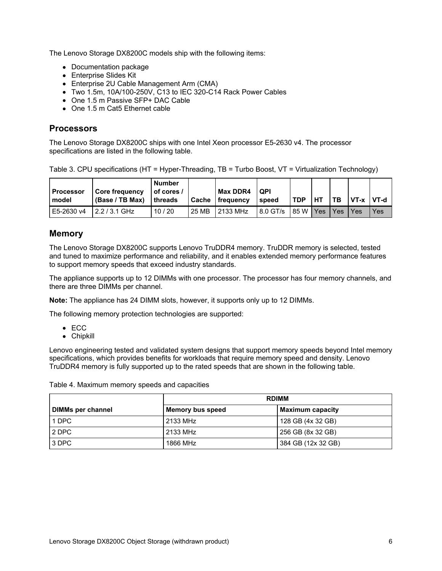The Lenovo Storage DX8200C models ship with the following items:

- Documentation package
- Enterprise Slides Kit
- Enterprise 2U Cable Management Arm (CMA)
- Two 1.5m, 10A/100-250V, C13 to IEC 320-C14 Rack Power Cables
- One 1.5 m Passive SFP+ DAC Cable
- One 1.5 m Cat5 Ethernet cable

### **Processors**

The Lenovo Storage DX8200C ships with one Intel Xeon processor E5-2630 v4. The processor specifications are listed in the following table.

Table 3. CPU specifications (HT = Hyper-Threading, TB = Turbo Boost, VT = Virtualization Technology)

| l Processor<br>model | <b>Core frequency</b><br>(Base / TB Max) | <b>Number</b><br>$I$ of cores $I$<br>l threads | <b>Cache</b> | <b>Max DDR4</b><br><b>I</b> frequency | <b>QPI</b><br>speed | <b>TDP</b> | HТ | $T_{\rm B}$ | VT-x VT-d |      |
|----------------------|------------------------------------------|------------------------------------------------|--------------|---------------------------------------|---------------------|------------|----|-------------|-----------|------|
| E5-2630 v4           | $2.2/3.1$ GHz                            | 10/20                                          | 25 MB        | 2133 MHz                              | 8.0 GT/s            | $85 W$ Yes |    | I Yes       | l Yes     | Yes. |

### **Memory**

The Lenovo Storage DX8200C supports Lenovo TruDDR4 memory. TruDDR memory is selected, tested and tuned to maximize performance and reliability, and it enables extended memory performance features to support memory speeds that exceed industry standards.

The appliance supports up to 12 DIMMs with one processor. The processor has four memory channels, and there are three DIMMs per channel.

**Note:** The appliance has 24 DIMM slots, however, it supports only up to 12 DIMMs.

The following memory protection technologies are supported:

- $\bullet$  ECC
- Chipkill

Lenovo engineering tested and validated system designs that support memory speeds beyond Intel memory specifications, which provides benefits for workloads that require memory speed and density. Lenovo TruDDR4 memory is fully supported up to the rated speeds that are shown in the following table.

| Table 4. Maximum memory speeds and capacities |  |
|-----------------------------------------------|--|
|-----------------------------------------------|--|

|                          | <b>RDIMM</b>     |                         |  |  |  |
|--------------------------|------------------|-------------------------|--|--|--|
| <b>DIMMs per channel</b> | Memory bus speed | <b>Maximum capacity</b> |  |  |  |
| 1 DPC                    | 2133 MHz         | 128 GB (4x 32 GB)       |  |  |  |
| 2 DPC                    | 2133 MHz         | 256 GB (8x 32 GB)       |  |  |  |
| 3 DPC                    | 1866 MHz         | 384 GB (12x 32 GB)      |  |  |  |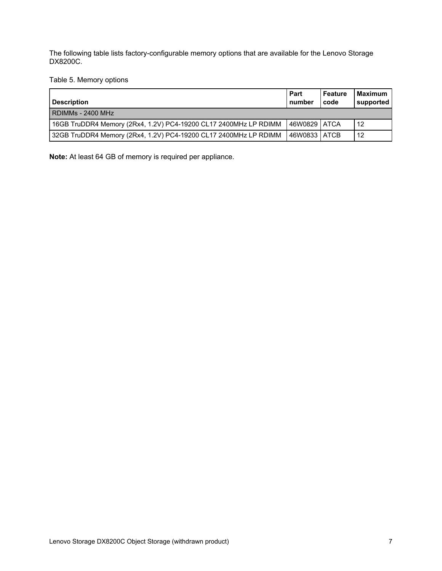The following table lists factory-configurable memory options that are available for the Lenovo Storage DX8200C.

Table 5. Memory options

| <b>Description</b>                                               | Part<br>number | Feature<br>code | <b>Maximum</b><br>supported |
|------------------------------------------------------------------|----------------|-----------------|-----------------------------|
| RDIMMs - 2400 MHz                                                |                |                 |                             |
| 16GB TruDDR4 Memory (2Rx4, 1.2V) PC4-19200 CL17 2400MHz LP RDIMM | 46W0829 ATCA   |                 | 12                          |
| 32GB TruDDR4 Memory (2Rx4, 1.2V) PC4-19200 CL17 2400MHz LP RDIMM | 46W0833 ATCB   |                 | 12                          |

**Note:** At least 64 GB of memory is required per appliance.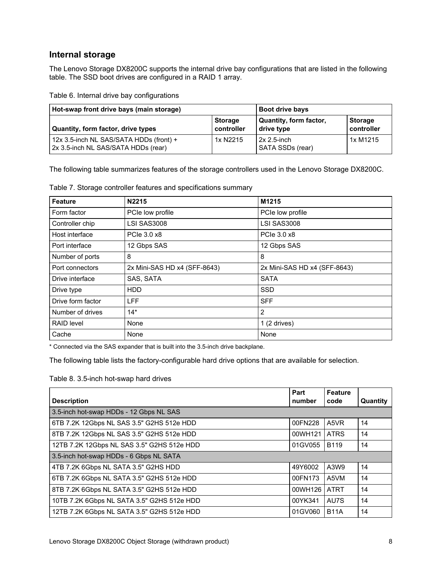# **Internal storage**

The Lenovo Storage DX8200C supports the internal drive bay configurations that are listed in the following table. The SSD boot drives are configured in a RAID 1 array.

| Table 6. Internal drive bay configurations |
|--------------------------------------------|
|--------------------------------------------|

| Hot-swap front drive bays (main storage)                                       | <b>Boot drive bays</b>       |                                      |                              |
|--------------------------------------------------------------------------------|------------------------------|--------------------------------------|------------------------------|
| Quantity, form factor, drive types                                             | <b>Storage</b><br>controller | Quantity, form factor,<br>drive type | <b>Storage</b><br>controller |
| 12x 3.5-inch NL SAS/SATA HDDs (front) +<br>2x 3.5-inch NL SAS/SATA HDDs (rear) | 1x N2215                     | $2x 2.5$ -inch<br>SATA SSDs (rear)   | 1x M1215                     |

The following table summarizes features of the storage controllers used in the Lenovo Storage DX8200C.

Table 7. Storage controller features and specifications summary

| <b>Feature</b>    | N2215                        | M1215                        |
|-------------------|------------------------------|------------------------------|
| Form factor       | PCIe low profile             | PCIe low profile             |
| Controller chip   | <b>LSI SAS3008</b>           | <b>LSI SAS3008</b>           |
| Host interface    | PCIe 3.0 x8                  | PCIe 3.0 x8                  |
| Port interface    | 12 Gbps SAS                  | 12 Gbps SAS                  |
| Number of ports   | 8                            | 8                            |
| Port connectors   | 2x Mini-SAS HD x4 (SFF-8643) | 2x Mini-SAS HD x4 (SFF-8643) |
| Drive interface   | SAS, SATA                    | <b>SATA</b>                  |
| Drive type        | HDD                          | <b>SSD</b>                   |
| Drive form factor | <b>LFF</b>                   | <b>SFF</b>                   |
| Number of drives  | $14*$                        | 2                            |
| <b>RAID level</b> | None                         | $1(2 \text{ drives})$        |
| Cache             | None                         | None                         |

\* Connected via the SAS expander that is built into the 3.5-inch drive backplane.

The following table lists the factory-configurable hard drive options that are available for selection.

Table 8. 3.5-inch hot-swap hard drives

| <b>Description</b>                         | Part<br>number | <b>Feature</b><br>code | Quantity |
|--------------------------------------------|----------------|------------------------|----------|
| 3.5-inch hot-swap HDDs - 12 Gbps NL SAS    |                |                        |          |
| 6TB 7.2K 12Gbps NL SAS 3.5" G2HS 512e HDD  | 00FN228        | A5VR                   | 14       |
| 8TB 7.2K 12Gbps NL SAS 3.5" G2HS 512e HDD  | 00WH121        | <b>ATRS</b>            | 14       |
| 12TB 7.2K 12Gbps NL SAS 3.5" G2HS 512e HDD | 01GV055        | <b>B119</b>            | 14       |
| 3.5-inch hot-swap HDDs - 6 Gbps NL SATA    |                |                        |          |
| 4TB 7.2K 6Gbps NL SATA 3.5" G2HS HDD       | 49Y6002        | A3W9                   | 14       |
| 6TB 7.2K 6Gbps NL SATA 3.5" G2HS 512e HDD  | 00FN173        | A5VM                   | 14       |
| 8TB 7.2K 6Gbps NL SATA 3.5" G2HS 512e HDD  | 00WH126        | <b>ATRT</b>            | 14       |
| 10TB 7.2K 6Gbps NL SATA 3.5" G2HS 512e HDD | 00YK341        | AU7S                   | 14       |
| 12TB 7.2K 6Gbps NL SATA 3.5" G2HS 512e HDD | 01GV060        | <b>B11A</b>            | 14       |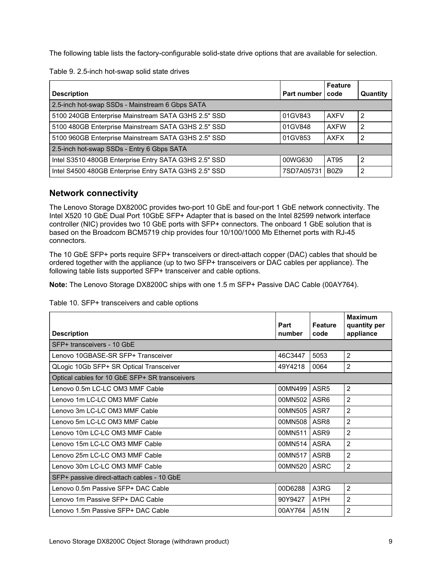The following table lists the factory-configurable solid-state drive options that are available for selection.

Table 9. 2.5-inch hot-swap solid state drives

|                                                       |             | <b>Feature</b>                |                |
|-------------------------------------------------------|-------------|-------------------------------|----------------|
| <b>Description</b>                                    | Part number | code                          | Quantity       |
| 2.5-inch hot-swap SSDs - Mainstream 6 Gbps SATA       |             |                               |                |
| 5100 240GB Enterprise Mainstream SATA G3HS 2.5" SSD   | 01GV843     | <b>AXFV</b>                   | $\overline{2}$ |
| 5100 480GB Enterprise Mainstream SATA G3HS 2.5" SSD   | 01GV848     | <b>AXFW</b>                   | $\overline{2}$ |
| 5100 960GB Enterprise Mainstream SATA G3HS 2.5" SSD   | 01GV853     | <b>AXFX</b>                   | -2             |
| 2.5-inch hot-swap SSDs - Entry 6 Gbps SATA            |             |                               |                |
| Intel S3510 480GB Enterprise Entry SATA G3HS 2.5" SSD | 00WG630     | AT95                          | $\overline{2}$ |
| Intel S4500 480GB Enterprise Entry SATA G3HS 2.5" SSD | 7SD7A05731  | B <sub>0</sub> Z <sub>9</sub> | -2             |

### **Network connectivity**

The Lenovo Storage DX8200C provides two-port 10 GbE and four-port 1 GbE network connectivity. The Intel X520 10 GbE Dual Port 10GbE SFP+ Adapter that is based on the Intel 82599 network interface controller (NIC) provides two 10 GbE ports with SFP+ connectors. The onboard 1 GbE solution that is based on the Broadcom BCM5719 chip provides four 10/100/1000 Mb Ethernet ports with RJ-45 connectors.

The 10 GbE SFP+ ports require SFP+ transceivers or direct-attach copper (DAC) cables that should be ordered together with the appliance (up to two SFP+ transceivers or DAC cables per appliance). The following table lists supported SFP+ transceiver and cable options.

**Note:** The Lenovo Storage DX8200C ships with one 1.5 m SFP+ Passive DAC Cable (00AY764).

Table 10. SFP+ transceivers and cable options

| <b>Description</b>                             | Part<br>number | <b>Feature</b><br>code | <b>Maximum</b><br>quantity per<br>appliance |
|------------------------------------------------|----------------|------------------------|---------------------------------------------|
| SFP+ transceivers - 10 GbE                     |                |                        |                                             |
| Lenovo 10GBASE-SR SFP+ Transceiver             | 46C3447        | 5053                   | $\overline{2}$                              |
| QLogic 10Gb SFP+ SR Optical Transceiver        | 49Y4218        | 0064                   | $\overline{c}$                              |
| Optical cables for 10 GbE SFP+ SR transceivers |                |                        |                                             |
| Lenovo 0.5m LC-LC OM3 MMF Cable                | 00MN499        | ASR <sub>5</sub>       | $\overline{2}$                              |
| Lenovo 1m LC-LC OM3 MMF Cable                  | 00MN502        | ASR <sub>6</sub>       | $\overline{2}$                              |
| Lenovo 3m LC-LC OM3 MMF Cable                  | 00MN505 ASR7   |                        | $\overline{2}$                              |
| Lenovo 5m LC-LC OM3 MMF Cable                  | 00MN508 ASR8   |                        | $\overline{2}$                              |
| Lenovo 10m LC-LC OM3 MMF Cable                 | 00MN511        | ASR <sub>9</sub>       | $\overline{2}$                              |
| Lenovo 15m LC-LC OM3 MMF Cable                 | 00MN514        | <b>ASRA</b>            | $\overline{2}$                              |
| Lenovo 25m LC-LC OM3 MMF Cable                 | 00MN517        | <b>ASRB</b>            | $\overline{2}$                              |
| Lenovo 30m LC-LC OM3 MMF Cable                 | 00MN520        | <b>ASRC</b>            | $\overline{2}$                              |
| SFP+ passive direct-attach cables - 10 GbE     |                |                        |                                             |
| Lenovo 0.5m Passive SFP+ DAC Cable             | 00D6288        | A3RG                   | $\overline{2}$                              |
| Lenovo 1m Passive SFP+ DAC Cable               | 90Y9427        | A <sub>1</sub> PH      | 2                                           |
| Lenovo 1.5m Passive SFP+ DAC Cable             | 00AY764        | l A51N                 | 2                                           |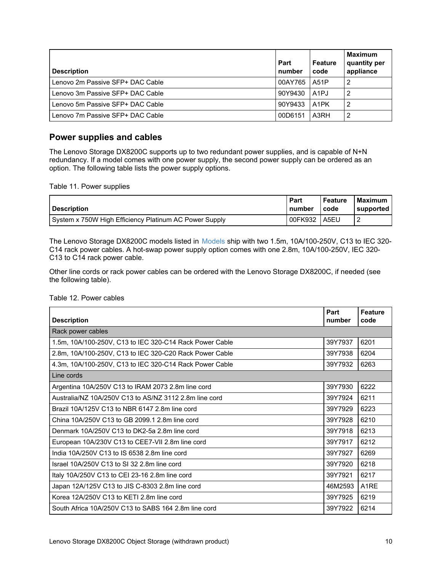| <b>Description</b>                 | Part<br>number | <b>Feature</b><br>code | <b>Maximum</b><br>quantity per<br>appliance |
|------------------------------------|----------------|------------------------|---------------------------------------------|
| l Lenovo 2m Passive SFP+ DAC Cable | 00AY765        | <b>LA51P</b>           |                                             |
| Lenovo 3m Passive SFP+ DAC Cable   | 90Y9430        | LA <sub>1</sub> PJ     |                                             |
| Lenovo 5m Passive SFP+ DAC Cable   | 90Y9433        | A <sub>1</sub> PK      |                                             |
| l Lenovo 7m Passive SFP+ DAC Cable | 00D6151        | A3RH                   |                                             |

## **Power supplies and cables**

The Lenovo Storage DX8200C supports up to two redundant power supplies, and is capable of N+N redundancy. If a model comes with one power supply, the second power supply can be ordered as an option. The following table lists the power supply options.

Table 11. Power supplies

| <b>Description</b>                                     | Part         | l Feature | <b>Maximum</b>   |
|--------------------------------------------------------|--------------|-----------|------------------|
|                                                        | I number     | l code    | <b>supported</b> |
| System x 750W High Efficiency Platinum AC Power Supply | 00FK932 A5EU |           |                  |

The Lenovo Storage DX8200C models listed in [Models](#page-4-0) ship with two 1.5m, 10A/100-250V, C13 to IEC 320- C14 rack power cables. A hot-swap power supply option comes with one 2.8m, 10A/100-250V, IEC 320- C13 to C14 rack power cable.

Other line cords or rack power cables can be ordered with the Lenovo Storage DX8200C, if needed (see the following table).

#### Table 12. Power cables

| <b>Description</b>                                      | Part<br>number | <b>Feature</b><br>code |
|---------------------------------------------------------|----------------|------------------------|
| Rack power cables                                       |                |                        |
| 1.5m, 10A/100-250V, C13 to IEC 320-C14 Rack Power Cable | 39Y7937        | 6201                   |
| 2.8m, 10A/100-250V, C13 to IEC 320-C20 Rack Power Cable | 39Y7938        | 6204                   |
| 4.3m, 10A/100-250V, C13 to IEC 320-C14 Rack Power Cable | 39Y7932        | 6263                   |
| Line cords                                              |                |                        |
| Argentina 10A/250V C13 to IRAM 2073 2.8m line cord      | 39Y7930        | 6222                   |
| Australia/NZ 10A/250V C13 to AS/NZ 3112 2.8m line cord  | 39Y7924        | 6211                   |
| Brazil 10A/125V C13 to NBR 6147 2.8m line cord          | 39Y7929        | 6223                   |
| China 10A/250V C13 to GB 2099.1 2.8m line cord          | 39Y7928        | 6210                   |
| Denmark 10A/250V C13 to DK2-5a 2.8m line cord           | 39Y7918        | 6213                   |
| European 10A/230V C13 to CEE7-VII 2.8m line cord        | 39Y7917        | 6212                   |
| India 10A/250V C13 to IS 6538 2.8m line cord            | 39Y7927        | 6269                   |
| Israel 10A/250V C13 to SI 32 2.8m line cord             | 39Y7920        | 6218                   |
| Italy 10A/250V C13 to CEI 23-16 2.8m line cord          | 39Y7921        | 6217                   |
| Japan 12A/125V C13 to JIS C-8303 2.8m line cord         | 46M2593        | A <sub>1</sub> RE      |
| Korea 12A/250V C13 to KETI 2.8m line cord               | 39Y7925        | 6219                   |
| South Africa 10A/250V C13 to SABS 164 2.8m line cord    | 39Y7922        | 6214                   |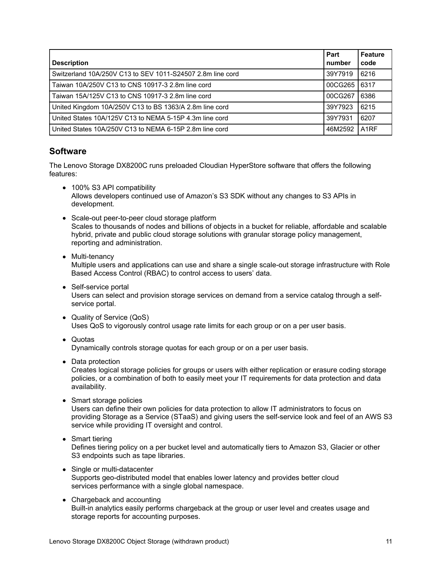| <b>Description</b>                                         | Part<br>number | <b>Feature</b><br>code |
|------------------------------------------------------------|----------------|------------------------|
| Switzerland 10A/250V C13 to SEV 1011-S24507 2.8m line cord | 39Y7919        | 6216                   |
| Taiwan 10A/250V C13 to CNS 10917-3 2.8m line cord          | 00CG265        | 6317                   |
| Taiwan 15A/125V C13 to CNS 10917-3 2.8m line cord          | 00CG267        | 6386                   |
| United Kingdom 10A/250V C13 to BS 1363/A 2.8m line cord    | 39Y7923        | 6215                   |
| United States 10A/125V C13 to NEMA 5-15P 4.3m line cord    | 39Y7931        | 6207                   |
| United States 10A/250V C13 to NEMA 6-15P 2.8m line cord    | 46M2592        | A <sub>1</sub> RF      |

### <span id="page-10-0"></span>**Software**

The Lenovo Storage DX8200C runs preloaded Cloudian HyperStore software that offers the following features:

- 100% S3 API compatibility Allows developers continued use of Amazon's S3 SDK without any changes to S3 APIs in development.
- Scale-out peer-to-peer cloud storage platform Scales to thousands of nodes and billions of objects in a bucket for reliable, affordable and scalable hybrid, private and public cloud storage solutions with granular storage policy management, reporting and administration.
- Multi-tenancy Multiple users and applications can use and share a single scale-out storage infrastructure with Role Based Access Control (RBAC) to control access to users' data.
- Self-service portal Users can select and provision storage services on demand from a service catalog through a selfservice portal.
- Quality of Service (QoS) Uses QoS to vigorously control usage rate limits for each group or on a per user basis.
- Quotas Dynamically controls storage quotas for each group or on a per user basis.
- Data protection

Creates logical storage policies for groups or users with either replication or erasure coding storage policies, or a combination of both to easily meet your IT requirements for data protection and data availability.

• Smart storage policies

Users can define their own policies for data protection to allow IT administrators to focus on providing Storage as a Service (STaaS) and giving users the self-service look and feel of an AWS S3 service while providing IT oversight and control.

- Smart tiering Defines tiering policy on a per bucket level and automatically tiers to Amazon S3, Glacier or other S3 endpoints such as tape libraries.
- Single or multi-datacenter Supports geo-distributed model that enables lower latency and provides better cloud services performance with a single global namespace.
- Chargeback and accounting Built-in analytics easily performs chargeback at the group or user level and creates usage and storage reports for accounting purposes.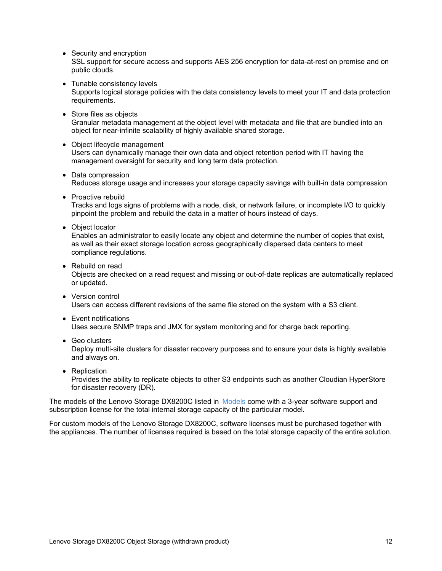• Security and encryption

SSL support for secure access and supports AES 256 encryption for data-at-rest on premise and on public clouds.

• Tunable consistency levels

Supports logical storage policies with the data consistency levels to meet your IT and data protection requirements.

- Store files as objects Granular metadata management at the object level with metadata and file that are bundled into an object for near-infinite scalability of highly available shared storage.
- Object lifecycle management Users can dynamically manage their own data and object retention period with IT having the management oversight for security and long term data protection.
- Data compression Reduces storage usage and increases your storage capacity savings with built-in data compression
- Proactive rebuild Tracks and logs signs of problems with a node, disk, or network failure, or incomplete I/O to quickly pinpoint the problem and rebuild the data in a matter of hours instead of days.
- Object locator

Enables an administrator to easily locate any object and determine the number of copies that exist, as well as their exact storage location across geographically dispersed data centers to meet compliance regulations.

Rebuild on read

Objects are checked on a read request and missing or out-of-date replicas are automatically replaced or updated.

- Version control Users can access different revisions of the same file stored on the system with a S3 client.
- Event notifications Uses secure SNMP traps and JMX for system monitoring and for charge back reporting.
- Geo clusters

Deploy multi-site clusters for disaster recovery purposes and to ensure your data is highly available and always on.

• Replication

Provides the ability to replicate objects to other S3 endpoints such as another Cloudian HyperStore for disaster recovery (DR).

The models of the Lenovo Storage DX8200C listed in [Models](#page-4-0) come with a 3-year software support and subscription license for the total internal storage capacity of the particular model.

For custom models of the Lenovo Storage DX8200C, software licenses must be purchased together with the appliances. The number of licenses required is based on the total storage capacity of the entire solution.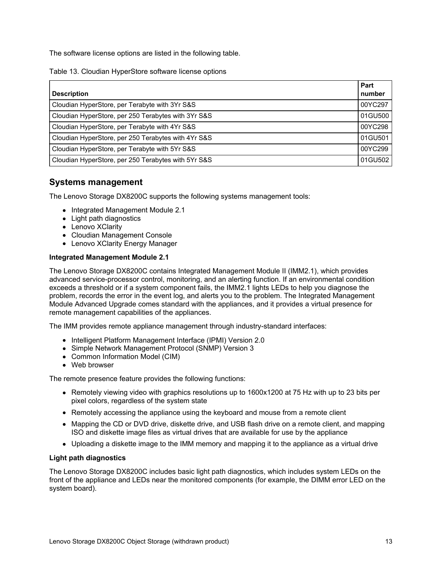The software license options are listed in the following table.

Table 13. Cloudian HyperStore software license options

|                                                     | Part    |
|-----------------------------------------------------|---------|
| <b>Description</b>                                  | number  |
| Cloudian HyperStore, per Terabyte with 3Yr S&S      | 00YC297 |
| Cloudian HyperStore, per 250 Terabytes with 3Yr S&S | 01GU500 |
| Cloudian HyperStore, per Terabyte with 4Yr S&S      | 00YC298 |
| Cloudian HyperStore, per 250 Terabytes with 4Yr S&S | 01GU501 |
| Cloudian HyperStore, per Terabyte with 5Yr S&S      | 00YC299 |
| Cloudian HyperStore, per 250 Terabytes with 5Yr S&S | 01GU502 |

### **Systems management**

The Lenovo Storage DX8200C supports the following systems management tools:

- Integrated Management Module 2.1
- Light path diagnostics
- Lenovo XClarity
- Cloudian Management Console
- Lenovo XClarity Energy Manager

#### **Integrated Management Module 2.1**

The Lenovo Storage DX8200C contains Integrated Management Module II (IMM2.1), which provides advanced service-processor control, monitoring, and an alerting function. If an environmental condition exceeds a threshold or if a system component fails, the IMM2.1 lights LEDs to help you diagnose the problem, records the error in the event log, and alerts you to the problem. The Integrated Management Module Advanced Upgrade comes standard with the appliances, and it provides a virtual presence for remote management capabilities of the appliances.

The IMM provides remote appliance management through industry-standard interfaces:

- Intelligent Platform Management Interface (IPMI) Version 2.0
- Simple Network Management Protocol (SNMP) Version 3
- Common Information Model (CIM)
- Web browser

The remote presence feature provides the following functions:

- Remotely viewing video with graphics resolutions up to 1600x1200 at 75 Hz with up to 23 bits per pixel colors, regardless of the system state
- Remotely accessing the appliance using the keyboard and mouse from a remote client
- Mapping the CD or DVD drive, diskette drive, and USB flash drive on a remote client, and mapping ISO and diskette image files as virtual drives that are available for use by the appliance
- Uploading a diskette image to the IMM memory and mapping it to the appliance as a virtual drive

#### **Light path diagnostics**

The Lenovo Storage DX8200C includes basic light path diagnostics, which includes system LEDs on the front of the appliance and LEDs near the monitored components (for example, the DIMM error LED on the system board).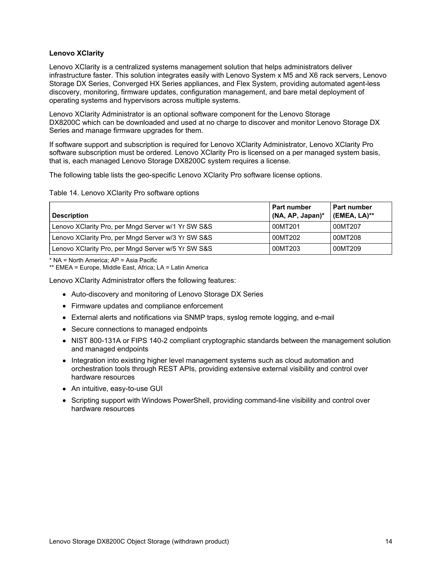#### **Lenovo XClarity**

Lenovo XClarity is a centralized systems management solution that helps administrators deliver infrastructure faster. This solution integrates easily with Lenovo System x M5 and X6 rack servers, Lenovo Storage DX Series, Converged HX Series appliances, and Flex System, providing automated agent-less discovery, monitoring, firmware updates, configuration management, and bare metal deployment of operating systems and hypervisors across multiple systems.

Lenovo XClarity Administrator is an optional software component for the Lenovo Storage DX8200C which can be downloaded and used at no charge to discover and monitor Lenovo Storage DX Series and manage firmware upgrades for them.

If software support and subscription is required for Lenovo XClarity Administrator, Lenovo XClarity Pro software subscription must be ordered. Lenovo XClarity Pro is licensed on a per managed system basis, that is, each managed Lenovo Storage DX8200C system requires a license.

The following table lists the geo-specific Lenovo XClarity Pro software license options.

#### Table 14. Lenovo XClarity Pro software options

| <b>Description</b>                                 | <b>Part number</b><br>(NA, AP, Japan)* | Part number<br>(EMEA, LA)** |
|----------------------------------------------------|----------------------------------------|-----------------------------|
| Lenovo XClarity Pro, per Mngd Server w/1 Yr SW S&S | 00MT201                                | 00MT207                     |
| Lenovo XClarity Pro, per Mngd Server w/3 Yr SW S&S | 00MT202                                | 00MT208                     |
| Lenovo XClarity Pro, per Mngd Server w/5 Yr SW S&S | 00MT203                                | 00MT209                     |

\* NA = North America; AP = Asia Pacific

\*\* EMEA = Europe, Middle East, Africa; LA = Latin America

Lenovo XClarity Administrator offers the following features:

- Auto-discovery and monitoring of Lenovo Storage DX Series
- Firmware updates and compliance enforcement
- External alerts and notifications via SNMP traps, syslog remote logging, and e-mail
- Secure connections to managed endpoints
- NIST 800-131A or FIPS 140-2 compliant cryptographic standards between the management solution and managed endpoints
- Integration into existing higher level management systems such as cloud automation and orchestration tools through REST APIs, providing extensive external visibility and control over hardware resources
- An intuitive, easy-to-use GUI
- Scripting support with Windows PowerShell, providing command-line visibility and control over hardware resources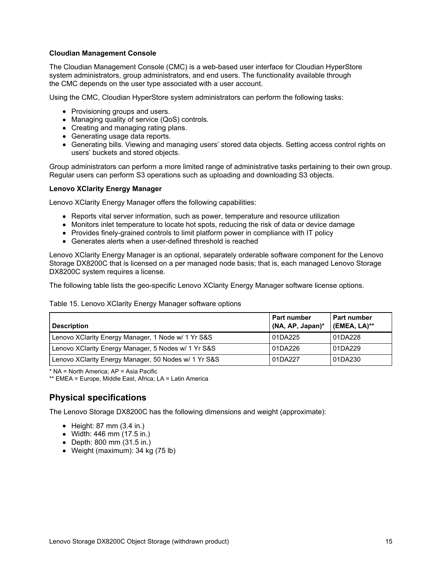#### **Cloudian Management Console**

The Cloudian Management Console (CMC) is a web-based user interface for Cloudian HyperStore system administrators, group administrators, and end users. The functionality available through the CMC depends on the user type associated with a user account.

Using the CMC, Cloudian HyperStore system administrators can perform the following tasks:

- Provisioning groups and users.
- Managing quality of service (QoS) controls.
- Creating and managing rating plans.
- Generating usage data reports.
- Generating bills. Viewing and managing users' stored data objects. Setting access control rights on users' buckets and stored objects.

Group administrators can perform a more limited range of administrative tasks pertaining to their own group. Regular users can perform S3 operations such as uploading and downloading S3 objects.

#### **Lenovo XClarity Energy Manager**

Lenovo XClarity Energy Manager offers the following capabilities:

- Reports vital server information, such as power, temperature and resource utilization
- Monitors inlet temperature to locate hot spots, reducing the risk of data or device damage
- Provides finely-grained controls to limit platform power in compliance with IT policy
- Generates alerts when a user-defined threshold is reached

Lenovo XClarity Energy Manager is an optional, separately orderable software component for the Lenovo Storage DX8200C that is licensed on a per managed node basis; that is, each managed Lenovo Storage DX8200C system requires a license.

The following table lists the geo-specific Lenovo XClarity Energy Manager software license options.

#### Table 15. Lenovo XClarity Energy Manager software options

| <b>Description</b>                                   | <b>Part number</b><br>(NA, AP, Japan)* | Part number<br>(EMEA, LA)** |
|------------------------------------------------------|----------------------------------------|-----------------------------|
| Lenovo XClarity Energy Manager, 1 Node w/ 1 Yr S&S   | 01DA225                                | 01DA228                     |
| Lenovo XClarity Energy Manager, 5 Nodes w/ 1 Yr S&S  | 01DA226                                | 01DA229                     |
| Lenovo XClarity Energy Manager, 50 Nodes w/ 1 Yr S&S | 01DA227                                | 01DA230                     |

\* NA = North America; AP = Asia Pacific

\*\* EMEA = Europe, Middle East, Africa; LA = Latin America

# **Physical specifications**

The Lenovo Storage DX8200C has the following dimensions and weight (approximate):

- $\bullet$  Height: 87 mm (3.4 in.)
- Width: 446 mm (17.5 in.)
- Depth: 800 mm (31.5 in.)
- Weight (maximum): 34 kg (75 lb)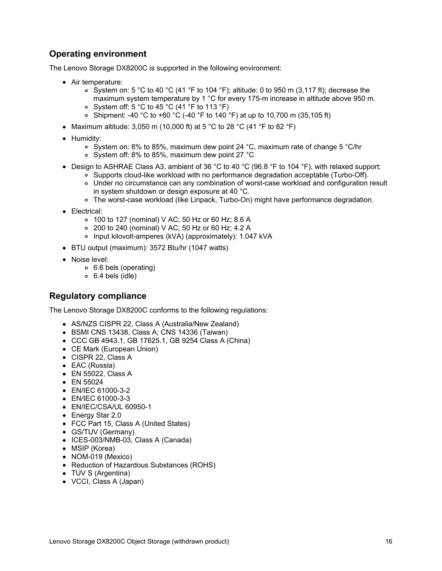# **Operating environment**

The Lenovo Storage DX8200C is supported in the following environment:

- Air temperature:
	- $\circ$  System on: 5 °C to 40 °C (41 °F to 104 °F); altitude: 0 to 950 m (3,117 ft); decrease the maximum system temperature by 1 °C for every 175-m increase in altitude above 950 m.
	- System off: 5 °C to 45 °C (41 °F to 113 °F)
	- Shipment: -40 °C to +60 °C (-40 °F to 140 °F) at up to 10,700 m (35,105 ft)
- Maximum altitude: 3,050 m (10,000 ft) at 5 °C to 28 °C (41 °F to 82 °F)
- Humidity:
	- System on: 8% to 85%, maximum dew point 24 °C, maximum rate of change 5 °C/hr
	- System off: 8% to 85%, maximum dew point 27 °C
- Design to ASHRAE Class A3, ambient of 36 °C to 40 °C (96.8 °F to 104 °F), with relaxed support:
	- o Supports cloud-like workload with no performance degradation acceptable (Turbo-Off). Under no circumstance can any combination of worst-case workload and configuration result
		- in system shutdown or design exposure at 40 °C.
		- The worst-case workload (like Linpack, Turbo-On) might have performance degradation.
- Electrical:
	- 100 to 127 (nominal) V AC; 50 Hz or 60 Hz; 8.6 A
	- 200 to 240 (nominal) V AC; 50 Hz or 60 Hz; 4.2 A
	- Input kilovolt-amperes (kVA) (approximately): 1.047 kVA
- BTU output (maximum): 3572 Btu/hr (1047 watts)
- Noise level:
	- 6.6 bels (operating)
	- 6.4 bels (idle)

### **Regulatory compliance**

The Lenovo Storage DX8200C conforms to the following regulations:

- AS/NZS CISPR 22, Class A (Australia/New Zealand)
- BSMI CNS 13438, Class A; CNS 14336 (Taiwan)
- CCC GB 4943.1, GB 17625.1, GB 9254 Class A (China)
- CE Mark (European Union)
- CISPR 22, Class A
- EAC (Russia)
- EN 55022, Class A
- EN 55024
- EN/IEC 61000-3-2
- EN/IEC 61000-3-3
- EN/IEC/CSA/UL 60950-1
- Energy Star 2.0
- FCC Part 15, Class A (United States)
- GS/TUV (Germany)
- ICES-003/NMB-03, Class A (Canada)
- MSIP (Korea)
- NOM-019 (Mexico)
- Reduction of Hazardous Substances (ROHS)
- TUV S (Argentina)
- VCCI, Class A (Japan)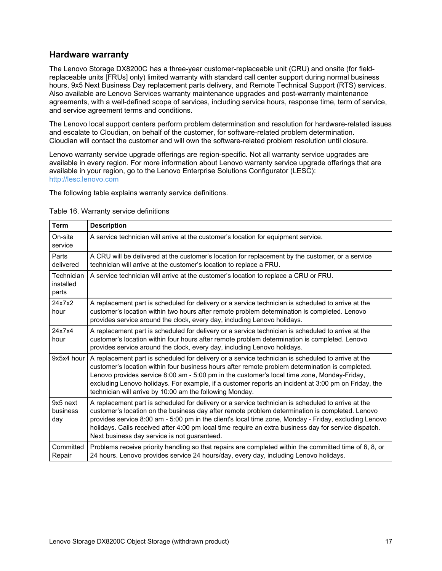### **Hardware warranty**

The Lenovo Storage DX8200C has a three-year customer-replaceable unit (CRU) and onsite (for fieldreplaceable units [FRUs] only) limited warranty with standard call center support during normal business hours, 9x5 Next Business Day replacement parts delivery, and Remote Technical Support (RTS) services. Also available are Lenovo Services warranty maintenance upgrades and post-warranty maintenance agreements, with a well-defined scope of services, including service hours, response time, term of service, and service agreement terms and conditions.

The Lenovo local support centers perform problem determination and resolution for hardware-related issues and escalate to Cloudian, on behalf of the customer, for software-related problem determination. Cloudian will contact the customer and will own the software-related problem resolution until closure.

Lenovo warranty service upgrade offerings are region-specific. Not all warranty service upgrades are available in every region. For more information about Lenovo warranty service upgrade offerings that are available in your region, go to the Lenovo Enterprise Solutions Configurator (LESC): <http://lesc.lenovo.com>

The following table explains warranty service definitions.

| <b>Term</b>                      | <b>Description</b>                                                                                                                                                                                                                                                                                                                                                                                                                                                      |
|----------------------------------|-------------------------------------------------------------------------------------------------------------------------------------------------------------------------------------------------------------------------------------------------------------------------------------------------------------------------------------------------------------------------------------------------------------------------------------------------------------------------|
| On-site<br>service               | A service technician will arrive at the customer's location for equipment service.                                                                                                                                                                                                                                                                                                                                                                                      |
| Parts<br>delivered               | A CRU will be delivered at the customer's location for replacement by the customer, or a service<br>technician will arrive at the customer's location to replace a FRU.                                                                                                                                                                                                                                                                                                 |
| Technician<br>installed<br>parts | A service technician will arrive at the customer's location to replace a CRU or FRU.                                                                                                                                                                                                                                                                                                                                                                                    |
| 24x7x2<br>hour                   | A replacement part is scheduled for delivery or a service technician is scheduled to arrive at the<br>customer's location within two hours after remote problem determination is completed. Lenovo<br>provides service around the clock, every day, including Lenovo holidays.                                                                                                                                                                                          |
| 24x7x4<br>hour                   | A replacement part is scheduled for delivery or a service technician is scheduled to arrive at the<br>customer's location within four hours after remote problem determination is completed. Lenovo<br>provides service around the clock, every day, including Lenovo holidays.                                                                                                                                                                                         |
| 9x5x4 hour                       | A replacement part is scheduled for delivery or a service technician is scheduled to arrive at the<br>customer's location within four business hours after remote problem determination is completed.<br>Lenovo provides service 8:00 am - 5:00 pm in the customer's local time zone, Monday-Friday,<br>excluding Lenovo holidays. For example, if a customer reports an incident at 3:00 pm on Friday, the<br>technician will arrive by 10:00 am the following Monday. |
| 9x5 next<br>business<br>day      | A replacement part is scheduled for delivery or a service technician is scheduled to arrive at the<br>customer's location on the business day after remote problem determination is completed. Lenovo<br>provides service 8:00 am - 5:00 pm in the client's local time zone, Monday - Friday, excluding Lenovo<br>holidays. Calls received after 4:00 pm local time require an extra business day for service dispatch.<br>Next business day service is not guaranteed. |
| Committed<br>Repair              | Problems receive priority handling so that repairs are completed within the committed time of 6, 8, or<br>24 hours. Lenovo provides service 24 hours/day, every day, including Lenovo holidays.                                                                                                                                                                                                                                                                         |

#### Table 16. Warranty service definitions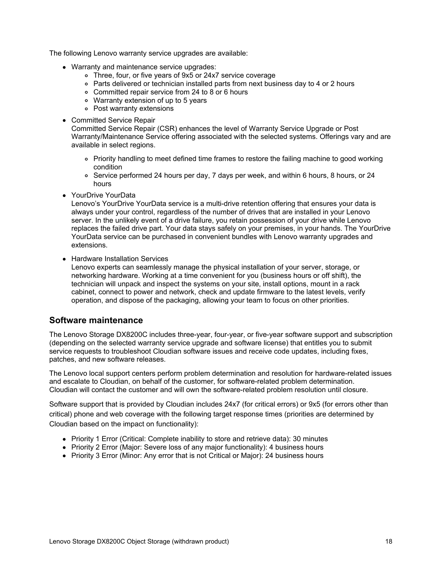The following Lenovo warranty service upgrades are available:

- Warranty and maintenance service upgrades:
	- Three, four, or five years of 9x5 or 24x7 service coverage
	- Parts delivered or technician installed parts from next business day to 4 or 2 hours
	- Committed repair service from 24 to 8 or 6 hours
	- Warranty extension of up to 5 years
	- Post warranty extensions
- Committed Service Repair

Committed Service Repair (CSR) enhances the level of Warranty Service Upgrade or Post Warranty/Maintenance Service offering associated with the selected systems. Offerings vary and are available in select regions.

- Priority handling to meet defined time frames to restore the failing machine to good working condition
- o Service performed 24 hours per day, 7 days per week, and within 6 hours, 8 hours, or 24 hours
- YourDrive YourData

Lenovo's YourDrive YourData service is a multi-drive retention offering that ensures your data is always under your control, regardless of the number of drives that are installed in your Lenovo server. In the unlikely event of a drive failure, you retain possession of your drive while Lenovo replaces the failed drive part. Your data stays safely on your premises, in your hands. The YourDrive YourData service can be purchased in convenient bundles with Lenovo warranty upgrades and extensions.

• Hardware Installation Services

Lenovo experts can seamlessly manage the physical installation of your server, storage, or networking hardware. Working at a time convenient for you (business hours or off shift), the technician will unpack and inspect the systems on your site, install options, mount in a rack cabinet, connect to power and network, check and update firmware to the latest levels, verify operation, and dispose of the packaging, allowing your team to focus on other priorities.

### **Software maintenance**

The Lenovo Storage DX8200C includes three-year, four-year, or five-year software support and subscription (depending on the selected warranty service upgrade and software license) that entitles you to submit service requests to troubleshoot Cloudian software issues and receive code updates, including fixes, patches, and new software releases.

The Lenovo local support centers perform problem determination and resolution for hardware-related issues and escalate to Cloudian, on behalf of the customer, for software-related problem determination. Cloudian will contact the customer and will own the software-related problem resolution until closure.

Software support that is provided by Cloudian includes 24x7 (for critical errors) or 9x5 (for errors other than critical) phone and web coverage with the following target response times (priorities are determined by Cloudian based on the impact on functionality):

- Priority 1 Error (Critical: Complete inability to store and retrieve data): 30 minutes
- Priority 2 Error (Major: Severe loss of any major functionality): 4 business hours
- Priority 3 Error (Minor: Any error that is not Critical or Major): 24 business hours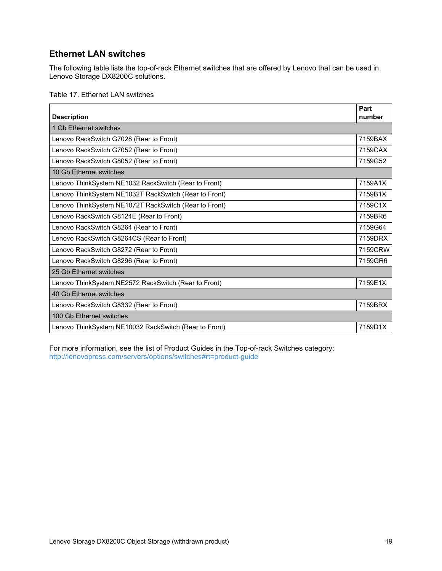# **Ethernet LAN switches**

The following table lists the top-of-rack Ethernet switches that are offered by Lenovo that can be used in Lenovo Storage DX8200C solutions.

#### Table 17. Ethernet LAN switches

| <b>Description</b>                                    | Part<br>number |
|-------------------------------------------------------|----------------|
| 1 Gb Ethernet switches                                |                |
| Lenovo RackSwitch G7028 (Rear to Front)               | 7159BAX        |
| Lenovo RackSwitch G7052 (Rear to Front)               | 7159CAX        |
| Lenovo RackSwitch G8052 (Rear to Front)               | 7159G52        |
| 10 Gb Ethernet switches                               |                |
| Lenovo ThinkSystem NE1032 RackSwitch (Rear to Front)  | 7159A1X        |
| Lenovo ThinkSystem NE1032T RackSwitch (Rear to Front) | 7159B1X        |
| Lenovo ThinkSystem NE1072T RackSwitch (Rear to Front) | 7159C1X        |
| Lenovo RackSwitch G8124E (Rear to Front)              | 7159BR6        |
| Lenovo RackSwitch G8264 (Rear to Front)               | 7159G64        |
| Lenovo RackSwitch G8264CS (Rear to Front)             | 7159DRX        |
| Lenovo RackSwitch G8272 (Rear to Front)               | 7159CRW        |
| Lenovo RackSwitch G8296 (Rear to Front)               | 7159GR6        |
| 25 Gb Ethernet switches                               |                |
| Lenovo ThinkSystem NE2572 RackSwitch (Rear to Front)  | 7159E1X        |
| 40 Gb Ethernet switches                               |                |
| Lenovo RackSwitch G8332 (Rear to Front)               | 7159BRX        |
| 100 Gb Ethernet switches                              |                |
| Lenovo ThinkSystem NE10032 RackSwitch (Rear to Front) | 7159D1X        |

For more information, see the list of Product Guides in the Top-of-rack Switches category: <http://lenovopress.com/servers/options/switches#rt=product-guide>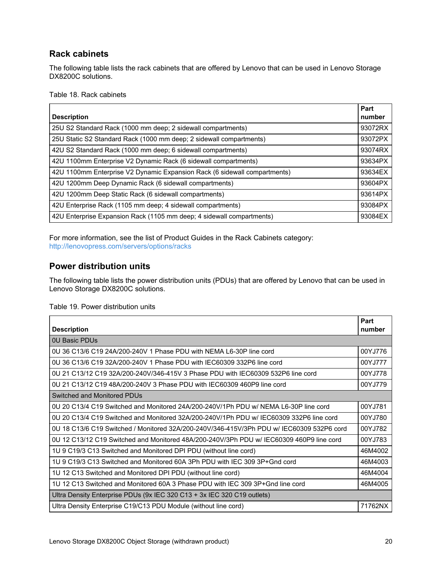# **Rack cabinets**

The following table lists the rack cabinets that are offered by Lenovo that can be used in Lenovo Storage DX8200C solutions.

Table 18. Rack cabinets

|                                                                           | Part    |
|---------------------------------------------------------------------------|---------|
| <b>Description</b>                                                        | number  |
| 25U S2 Standard Rack (1000 mm deep; 2 sidewall compartments)              | 93072RX |
| 25U Static S2 Standard Rack (1000 mm deep; 2 sidewall compartments)       | 93072PX |
| 42U S2 Standard Rack (1000 mm deep; 6 sidewall compartments)              | 93074RX |
| 42U 1100mm Enterprise V2 Dynamic Rack (6 sidewall compartments)           | 93634PX |
| 42U 1100mm Enterprise V2 Dynamic Expansion Rack (6 sidewall compartments) | 93634EX |
| 42U 1200mm Deep Dynamic Rack (6 sidewall compartments)                    | 93604PX |
| 42U 1200mm Deep Static Rack (6 sidewall compartments)                     | 93614PX |
| 42U Enterprise Rack (1105 mm deep; 4 sidewall compartments)               | 93084PX |
| 42U Enterprise Expansion Rack (1105 mm deep; 4 sidewall compartments)     | 93084EX |

For more information, see the list of Product Guides in the Rack Cabinets category: <http://lenovopress.com/servers/options/racks>

# **Power distribution units**

The following table lists the power distribution units (PDUs) that are offered by Lenovo that can be used in Lenovo Storage DX8200C solutions.

#### Table 19. Power distribution units

| <b>Description</b>                                                                        | Part<br>number |  |
|-------------------------------------------------------------------------------------------|----------------|--|
| <b>0U Basic PDUs</b>                                                                      |                |  |
| 0U 36 C13/6 C19 24A/200-240V 1 Phase PDU with NEMA L6-30P line cord                       | 00YJ776        |  |
| 0U 36 C13/6 C19 32A/200-240V 1 Phase PDU with IEC60309 332P6 line cord                    | 00YJ777        |  |
| 0U 21 C13/12 C19 32A/200-240V/346-415V 3 Phase PDU with IEC60309 532P6 line cord          | 00YJ778        |  |
| 0U 21 C13/12 C19 48A/200-240V 3 Phase PDU with IEC60309 460P9 line cord                   | 00YJ779        |  |
| Switched and Monitored PDUs                                                               |                |  |
| 0U 20 C13/4 C19 Switched and Monitored 24A/200-240V/1Ph PDU w/ NEMA L6-30P line cord      | 00YJ781        |  |
| 0U 20 C13/4 C19 Switched and Monitored 32A/200-240V/1Ph PDU w/ IEC60309 332P6 line cord   | 00YJ780        |  |
| 0U 18 C13/6 C19 Switched / Monitored 32A/200-240V/346-415V/3Ph PDU w/ IEC60309 532P6 cord | 00YJ782        |  |
| 0U 12 C13/12 C19 Switched and Monitored 48A/200-240V/3Ph PDU w/ IEC60309 460P9 line cord  | 00YJ783        |  |
| 1U 9 C19/3 C13 Switched and Monitored DPI PDU (without line cord)                         | 46M4002        |  |
| 1U 9 C19/3 C13 Switched and Monitored 60A 3Ph PDU with IEC 309 3P+Gnd cord                | 46M4003        |  |
| 1U 12 C13 Switched and Monitored DPI PDU (without line cord)                              | 46M4004        |  |
| 1U 12 C13 Switched and Monitored 60A 3 Phase PDU with IEC 309 3P+Gnd line cord            | 46M4005        |  |
| Ultra Density Enterprise PDUs (9x IEC 320 C13 + 3x IEC 320 C19 outlets)                   |                |  |
| Ultra Density Enterprise C19/C13 PDU Module (without line cord)                           | 71762NX        |  |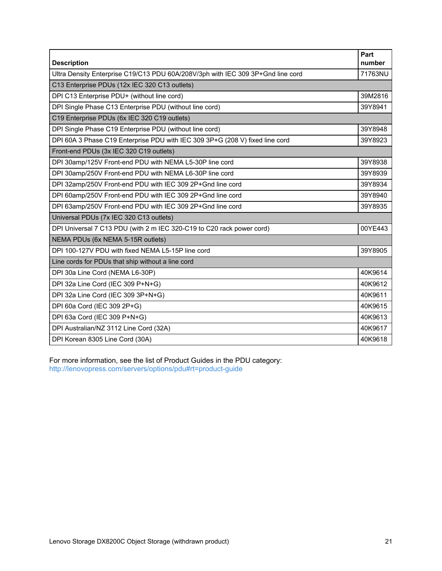| <b>Description</b>                                                              | Part<br>number |
|---------------------------------------------------------------------------------|----------------|
| Ultra Density Enterprise C19/C13 PDU 60A/208V/3ph with IEC 309 3P+Gnd line cord | 71763NU        |
| C13 Enterprise PDUs (12x IEC 320 C13 outlets)                                   |                |
| DPI C13 Enterprise PDU+ (without line cord)                                     | 39M2816        |
| DPI Single Phase C13 Enterprise PDU (without line cord)                         | 39Y8941        |
| C19 Enterprise PDUs (6x IEC 320 C19 outlets)                                    |                |
| DPI Single Phase C19 Enterprise PDU (without line cord)                         | 39Y8948        |
| DPI 60A 3 Phase C19 Enterprise PDU with IEC 309 3P+G (208 V) fixed line cord    | 39Y8923        |
| Front-end PDUs (3x IEC 320 C19 outlets)                                         |                |
| DPI 30amp/125V Front-end PDU with NEMA L5-30P line cord                         | 39Y8938        |
| DPI 30amp/250V Front-end PDU with NEMA L6-30P line cord                         | 39Y8939        |
| DPI 32amp/250V Front-end PDU with IEC 309 2P+Gnd line cord                      | 39Y8934        |
| DPI 60amp/250V Front-end PDU with IEC 309 2P+Gnd line cord                      | 39Y8940        |
| DPI 63amp/250V Front-end PDU with IEC 309 2P+Gnd line cord                      | 39Y8935        |
| Universal PDUs (7x IEC 320 C13 outlets)                                         |                |
| DPI Universal 7 C13 PDU (with 2 m IEC 320-C19 to C20 rack power cord)           | 00YE443        |
| NEMA PDUs (6x NEMA 5-15R outlets)                                               |                |
| DPI 100-127V PDU with fixed NEMA L5-15P line cord                               | 39Y8905        |
| Line cords for PDUs that ship without a line cord                               |                |
| DPI 30a Line Cord (NEMA L6-30P)                                                 | 40K9614        |
| DPI 32a Line Cord (IEC 309 P+N+G)                                               | 40K9612        |
| DPI 32a Line Cord (IEC 309 3P+N+G)                                              | 40K9611        |
| DPI 60a Cord (IEC 309 2P+G)                                                     | 40K9615        |
| DPI 63a Cord (IEC 309 P+N+G)                                                    | 40K9613        |
| DPI Australian/NZ 3112 Line Cord (32A)                                          | 40K9617        |
| DPI Korean 8305 Line Cord (30A)                                                 | 40K9618        |

For more information, see the list of Product Guides in the PDU category: <http://lenovopress.com/servers/options/pdu#rt=product-guide>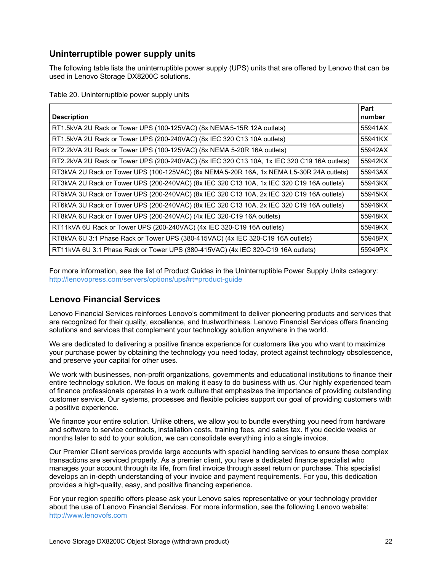# **Uninterruptible power supply units**

The following table lists the uninterruptible power supply (UPS) units that are offered by Lenovo that can be used in Lenovo Storage DX8200C solutions.

Table 20. Uninterruptible power supply units

| <b>Description</b>                                                                          | Part<br>number |
|---------------------------------------------------------------------------------------------|----------------|
| RT1.5kVA 2U Rack or Tower UPS (100-125VAC) (8x NEMA 5-15R 12A outlets)                      | 55941AX        |
| RT1.5kVA 2U Rack or Tower UPS (200-240VAC) (8x IEC 320 C13 10A outlets)                     | 55941KX        |
| RT2.2kVA 2U Rack or Tower UPS (100-125VAC) (8x NEMA 5-20R 16A outlets)                      | 55942AX        |
| RT2.2kVA 2U Rack or Tower UPS (200-240VAC) (8x IEC 320 C13 10A, 1x IEC 320 C19 16A outlets) | 55942KX        |
| RT3kVA 2U Rack or Tower UPS (100-125VAC) (6x NEMA 5-20R 16A, 1x NEMA L5-30R 24A outlets)    | 55943AX        |
| RT3kVA 2U Rack or Tower UPS (200-240VAC) (8x IEC 320 C13 10A, 1x IEC 320 C19 16A outlets)   | 55943KX        |
| RT5kVA 3U Rack or Tower UPS (200-240VAC) (8x IEC 320 C13 10A, 2x IEC 320 C19 16A outlets)   | 55945KX        |
| RT6kVA 3U Rack or Tower UPS (200-240VAC) (8x IEC 320 C13 10A, 2x IEC 320 C19 16A outlets)   | 55946KX        |
| RT8kVA 6U Rack or Tower UPS (200-240VAC) (4x IEC 320-C19 16A outlets)                       | 55948KX        |
| RT11kVA 6U Rack or Tower UPS (200-240VAC) (4x IEC 320-C19 16A outlets)                      | 55949KX        |
| RT8kVA 6U 3:1 Phase Rack or Tower UPS (380-415VAC) (4x IEC 320-C19 16A outlets)             | 55948PX        |
| RT11kVA 6U 3:1 Phase Rack or Tower UPS (380-415VAC) (4x IEC 320-C19 16A outlets)            | 55949PX        |

For more information, see the list of Product Guides in the Uninterruptible Power Supply Units category: <http://lenovopress.com/servers/options/ups#rt=product-guide>

# **Lenovo Financial Services**

Lenovo Financial Services reinforces Lenovo's commitment to deliver pioneering products and services that are recognized for their quality, excellence, and trustworthiness. Lenovo Financial Services offers financing solutions and services that complement your technology solution anywhere in the world.

We are dedicated to delivering a positive finance experience for customers like you who want to maximize your purchase power by obtaining the technology you need today, protect against technology obsolescence, and preserve your capital for other uses.

We work with businesses, non-profit organizations, governments and educational institutions to finance their entire technology solution. We focus on making it easy to do business with us. Our highly experienced team of finance professionals operates in a work culture that emphasizes the importance of providing outstanding customer service. Our systems, processes and flexible policies support our goal of providing customers with a positive experience.

We finance your entire solution. Unlike others, we allow you to bundle everything you need from hardware and software to service contracts, installation costs, training fees, and sales tax. If you decide weeks or months later to add to your solution, we can consolidate everything into a single invoice.

Our Premier Client services provide large accounts with special handling services to ensure these complex transactions are serviced properly. As a premier client, you have a dedicated finance specialist who manages your account through its life, from first invoice through asset return or purchase. This specialist develops an in-depth understanding of your invoice and payment requirements. For you, this dedication provides a high-quality, easy, and positive financing experience.

For your region specific offers please ask your Lenovo sales representative or your technology provider about the use of Lenovo Financial Services. For more information, see the following Lenovo website: <http://www.lenovofs.com>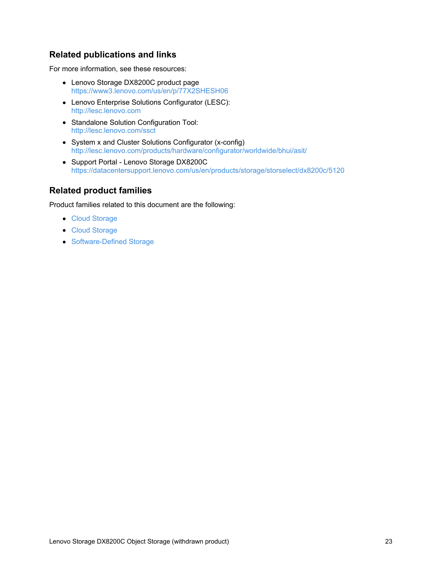# **Related publications and links**

For more information, see these resources:

- Lenovo Storage DX8200C product page <https://www3.lenovo.com/us/en/p/77X2SHESH06>
- Lenovo Enterprise Solutions Configurator (LESC): <http://lesc.lenovo.com>
- Standalone Solution Configuration Tool: <http://lesc.lenovo.com/ssct>
- System x and Cluster Solutions Configurator (x-config) <http://lesc.lenovo.com/products/hardware/configurator/worldwide/bhui/asit/>
- Support Portal Lenovo Storage DX8200C <https://datacentersupport.lenovo.com/us/en/products/storage/storselect/dx8200c/5120>

# **Related product families**

Product families related to this document are the following:

- Cloud [Storage](https://lenovopress.com/software/cloud/storage)
- Cloud [Storage](https://lenovopress.com/storage/cloud)
- [Software-Defined](https://lenovopress.com/storage/sds) Storage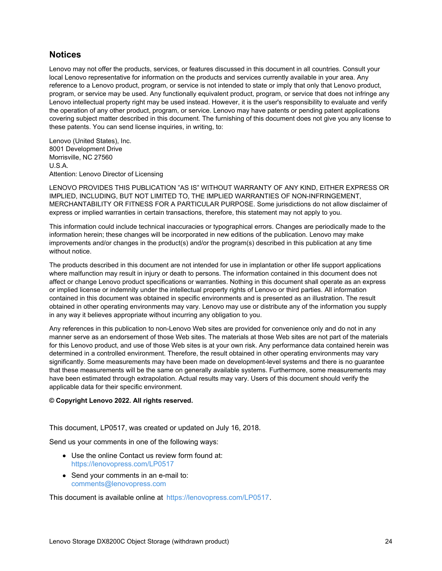### **Notices**

Lenovo may not offer the products, services, or features discussed in this document in all countries. Consult your local Lenovo representative for information on the products and services currently available in your area. Any reference to a Lenovo product, program, or service is not intended to state or imply that only that Lenovo product, program, or service may be used. Any functionally equivalent product, program, or service that does not infringe any Lenovo intellectual property right may be used instead. However, it is the user's responsibility to evaluate and verify the operation of any other product, program, or service. Lenovo may have patents or pending patent applications covering subject matter described in this document. The furnishing of this document does not give you any license to these patents. You can send license inquiries, in writing, to:

Lenovo (United States), Inc. 8001 Development Drive Morrisville, NC 27560 U.S.A. Attention: Lenovo Director of Licensing

LENOVO PROVIDES THIS PUBLICATION "AS IS" WITHOUT WARRANTY OF ANY KIND, EITHER EXPRESS OR IMPLIED, INCLUDING, BUT NOT LIMITED TO, THE IMPLIED WARRANTIES OF NON-INFRINGEMENT, MERCHANTABILITY OR FITNESS FOR A PARTICULAR PURPOSE. Some jurisdictions do not allow disclaimer of express or implied warranties in certain transactions, therefore, this statement may not apply to you.

This information could include technical inaccuracies or typographical errors. Changes are periodically made to the information herein; these changes will be incorporated in new editions of the publication. Lenovo may make improvements and/or changes in the product(s) and/or the program(s) described in this publication at any time without notice.

The products described in this document are not intended for use in implantation or other life support applications where malfunction may result in injury or death to persons. The information contained in this document does not affect or change Lenovo product specifications or warranties. Nothing in this document shall operate as an express or implied license or indemnity under the intellectual property rights of Lenovo or third parties. All information contained in this document was obtained in specific environments and is presented as an illustration. The result obtained in other operating environments may vary. Lenovo may use or distribute any of the information you supply in any way it believes appropriate without incurring any obligation to you.

Any references in this publication to non-Lenovo Web sites are provided for convenience only and do not in any manner serve as an endorsement of those Web sites. The materials at those Web sites are not part of the materials for this Lenovo product, and use of those Web sites is at your own risk. Any performance data contained herein was determined in a controlled environment. Therefore, the result obtained in other operating environments may vary significantly. Some measurements may have been made on development-level systems and there is no guarantee that these measurements will be the same on generally available systems. Furthermore, some measurements may have been estimated through extrapolation. Actual results may vary. Users of this document should verify the applicable data for their specific environment.

#### **© Copyright Lenovo 2022. All rights reserved.**

This document, LP0517, was created or updated on July 16, 2018.

Send us your comments in one of the following ways:

- Use the online Contact us review form found at: <https://lenovopress.com/LP0517>
- Send your comments in an e-mail to: [comments@lenovopress.com](mailto:comments@lenovopress.com?subject=Feedback for LP0517)

This document is available online at <https://lenovopress.com/LP0517>.